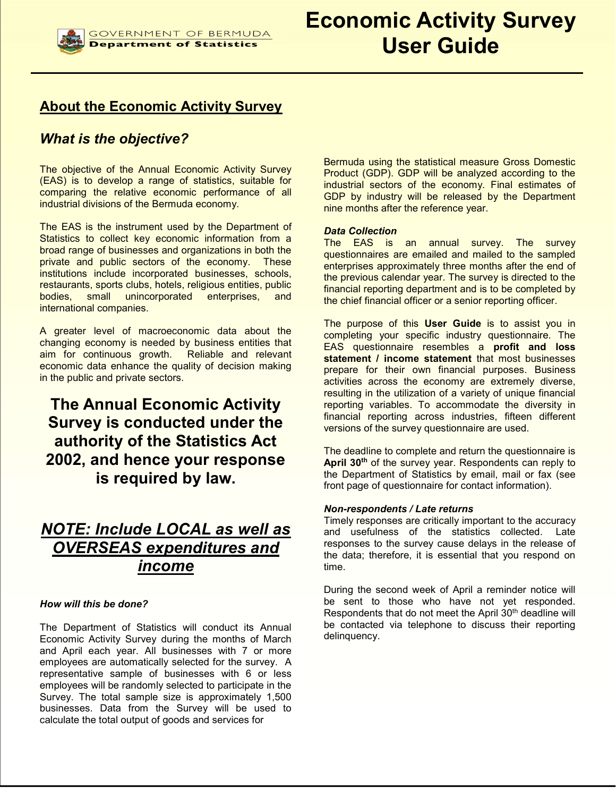# About the Economic Activity Survey

# What is the objective?

The objective of the Annual Economic Activity Survey (EAS) is to develop a range of statistics, suitable for comparing the relative economic performance of all industrial divisions of the Bermuda economy.

The EAS is the instrument used by the Department of Statistics to collect key economic information from a broad range of businesses and organizations in both the private and public sectors of the economy. These institutions include incorporated businesses, schools, restaurants, sports clubs, hotels, religious entities, public bodies, small unincorporated enterprises, and international companies.

A greater level of macroeconomic data about the changing economy is needed by business entities that aim for continuous growth. Reliable and relevant economic data enhance the quality of decision making in the public and private sectors.

# The Annual Economic Activity Survey is conducted under the authority of the Statistics Act 2002, and hence your response is required by law.

# NOTE: Include LOCAL as well as OVERSEAS expenditures and income

## How will this be done?

The Department of Statistics will conduct its Annual Economic Activity Survey during the months of March and April each year. All businesses with 7 or more employees are automatically selected for the survey. A representative sample of businesses with 6 or less employees will be randomly selected to participate in the Survey. The total sample size is approximately 1,500 businesses. Data from the Survey will be used to calculate the total output of goods and services for

Bermuda using the statistical measure Gross Domestic Product (GDP). GDP will be analyzed according to the industrial sectors of the economy. Final estimates of GDP by industry will be released by the Department nine months after the reference year.

## Data Collection

The EAS is an annual survey. The survey questionnaires are emailed and mailed to the sampled enterprises approximately three months after the end of the previous calendar year. The survey is directed to the financial reporting department and is to be completed by the chief financial officer or a senior reporting officer.

The purpose of this User Guide is to assist you in completing your specific industry questionnaire. The EAS questionnaire resembles a profit and loss statement / income statement that most businesses prepare for their own financial purposes. Business activities across the economy are extremely diverse, resulting in the utilization of a variety of unique financial reporting variables. To accommodate the diversity in financial reporting across industries, fifteen different versions of the survey questionnaire are used.

The deadline to complete and return the questionnaire is April 30<sup>th</sup> of the survey year. Respondents can reply to the Department of Statistics by email, mail or fax (see front page of questionnaire for contact information).

## Non-respondents / Late returns

Timely responses are critically important to the accuracy and usefulness of the statistics collected. Late responses to the survey cause delays in the release of the data; therefore, it is essential that you respond on time.

During the second week of April a reminder notice will be sent to those who have not yet responded. Respondents that do not meet the April 30<sup>th</sup> deadline will be contacted via telephone to discuss their reporting delinquency.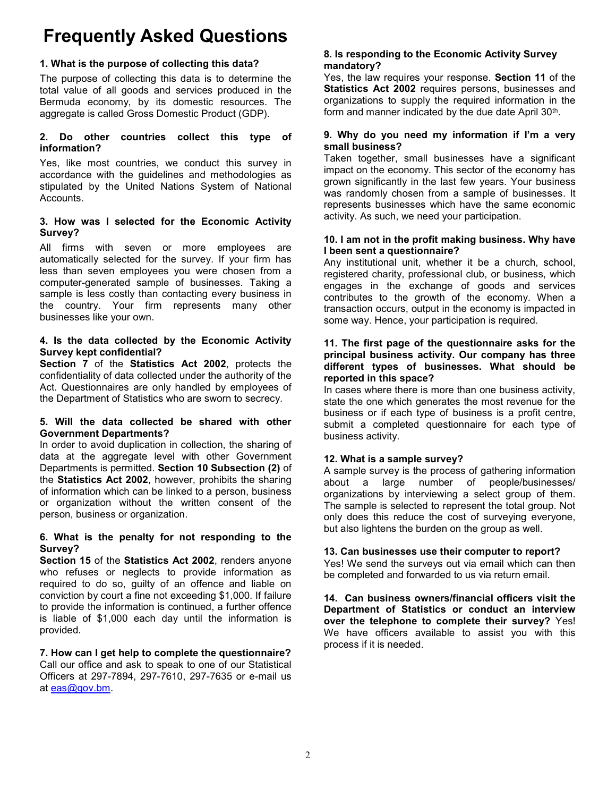# Frequently Asked Questions

# 1. What is the purpose of collecting this data?

The purpose of collecting this data is to determine the total value of all goods and services produced in the Bermuda economy, by its domestic resources. The aggregate is called Gross Domestic Product (GDP).

# 2. Do other countries collect this type of information?

Yes, like most countries, we conduct this survey in accordance with the guidelines and methodologies as stipulated by the United Nations System of National Accounts.

# 3. How was I selected for the Economic Activity Survey?

All firms with seven or more employees are automatically selected for the survey. If your firm has less than seven employees you were chosen from a computer-generated sample of businesses. Taking a sample is less costly than contacting every business in the country. Your firm represents many other businesses like your own.

# 4. Is the data collected by the Economic Activity Survey kept confidential?

Section 7 of the Statistics Act 2002, protects the confidentiality of data collected under the authority of the Act. Questionnaires are only handled by employees of the Department of Statistics who are sworn to secrecy.

# 5. Will the data collected be shared with other Government Departments?

In order to avoid duplication in collection, the sharing of data at the aggregate level with other Government Departments is permitted. Section 10 Subsection (2) of the Statistics Act 2002, however, prohibits the sharing of information which can be linked to a person, business or organization without the written consent of the person, business or organization.

# 6. What is the penalty for not responding to the Survey?

Section 15 of the Statistics Act 2002, renders anyone who refuses or neglects to provide information as required to do so, guilty of an offence and liable on conviction by court a fine not exceeding \$1,000. If failure to provide the information is continued, a further offence is liable of \$1,000 each day until the information is provided.

7. How can I get help to complete the questionnaire? Call our office and ask to speak to one of our Statistical Officers at 297-7894, 297-7610, 297-7635 or e-mail us at eas@gov.bm.

# 8. Is responding to the Economic Activity Survey mandatory?

Yes, the law requires your response. Section 11 of the Statistics Act 2002 requires persons, businesses and organizations to supply the required information in the form and manner indicated by the due date April 30<sup>th</sup>.

# 9. Why do you need my information if I'm a very small business?

Taken together, small businesses have a significant impact on the economy. This sector of the economy has grown significantly in the last few years. Your business was randomly chosen from a sample of businesses. It represents businesses which have the same economic activity. As such, we need your participation.

# 10. I am not in the profit making business. Why have I been sent a questionnaire?

Any institutional unit, whether it be a church, school, registered charity, professional club, or business, which engages in the exchange of goods and services contributes to the growth of the economy. When a transaction occurs, output in the economy is impacted in some way. Hence, your participation is required.

# 11. The first page of the questionnaire asks for the principal business activity. Our company has three different types of businesses. What should be reported in this space?

In cases where there is more than one business activity, state the one which generates the most revenue for the business or if each type of business is a profit centre, submit a completed questionnaire for each type of business activity.

# 12. What is a sample survey?

A sample survey is the process of gathering information about a large number of people/businesses/ organizations by interviewing a select group of them. The sample is selected to represent the total group. Not only does this reduce the cost of surveying everyone, but also lightens the burden on the group as well.

# 13. Can businesses use their computer to report?

Yes! We send the surveys out via email which can then be completed and forwarded to us via return email.

14. Can business owners/financial officers visit the Department of Statistics or conduct an interview over the telephone to complete their survey? Yes! We have officers available to assist you with this process if it is needed.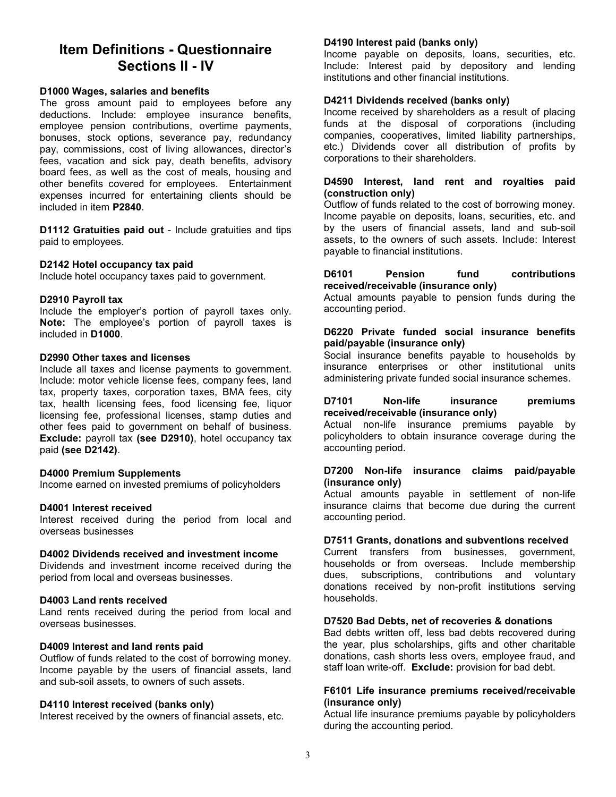# Item Definitions - Questionnaire Sections II - IV

#### D1000 Wages, salaries and benefits

The gross amount paid to employees before any deductions. Include: employee insurance benefits, employee pension contributions, overtime payments, bonuses, stock options, severance pay, redundancy pay, commissions, cost of living allowances, director's fees, vacation and sick pay, death benefits, advisory board fees, as well as the cost of meals, housing and other benefits covered for employees. Entertainment expenses incurred for entertaining clients should be included in item P2840.

D1112 Gratuities paid out - Include gratuities and tips paid to employees.

#### D2142 Hotel occupancy tax paid

Include hotel occupancy taxes paid to government.

#### D2910 Payroll tax

Include the employer's portion of payroll taxes only. Note: The employee's portion of payroll taxes is included in D1000.

#### D2990 Other taxes and licenses

Include all taxes and license payments to government. Include: motor vehicle license fees, company fees, land tax, property taxes, corporation taxes, BMA fees, city tax, health licensing fees, food licensing fee, liquor licensing fee, professional licenses, stamp duties and other fees paid to government on behalf of business. Exclude: payroll tax (see D2910), hotel occupancy tax paid (see D2142).

## D4000 Premium Supplements

Income earned on invested premiums of policyholders

## D4001 Interest received

Interest received during the period from local and overseas businesses

## D4002 Dividends received and investment income

Dividends and investment income received during the period from local and overseas businesses.

## D4003 Land rents received

Land rents received during the period from local and overseas businesses.

## D4009 Interest and land rents paid

Outflow of funds related to the cost of borrowing money. Income payable by the users of financial assets, land and sub-soil assets, to owners of such assets.

#### D4110 Interest received (banks only)

Interest received by the owners of financial assets, etc.

#### D4190 Interest paid (banks only)

Income payable on deposits, loans, securities, etc. Include: Interest paid by depository and lending institutions and other financial institutions.

#### D4211 Dividends received (banks only)

Income received by shareholders as a result of placing funds at the disposal of corporations (including companies, cooperatives, limited liability partnerships, etc.) Dividends cover all distribution of profits by corporations to their shareholders.

#### D4590 Interest, land rent and royalties paid (construction only)

Outflow of funds related to the cost of borrowing money. Income payable on deposits, loans, securities, etc. and by the users of financial assets, land and sub-soil assets, to the owners of such assets. Include: Interest payable to financial institutions.

#### D6101 Pension fund contributions received/receivable (insurance only)

Actual amounts payable to pension funds during the accounting period.

## D6220 Private funded social insurance benefits paid/payable (insurance only)

Social insurance benefits payable to households by insurance enterprises or other institutional units administering private funded social insurance schemes.

#### D7101 Non-life insurance premiums received/receivable (insurance only)

Actual non-life insurance premiums payable by policyholders to obtain insurance coverage during the accounting period.

#### D7200 Non-life insurance claims paid/payable (insurance only)

Actual amounts payable in settlement of non-life insurance claims that become due during the current accounting period.

#### D7511 Grants, donations and subventions received

Current transfers from businesses, government, households or from overseas. Include membership dues, subscriptions, contributions and voluntary donations received by non-profit institutions serving households.

#### D7520 Bad Debts, net of recoveries & donations

Bad debts written off, less bad debts recovered during the year, plus scholarships, gifts and other charitable donations, cash shorts less overs, employee fraud, and staff loan write-off. Exclude: provision for bad debt.

#### F6101 Life insurance premiums received/receivable (insurance only)

Actual life insurance premiums payable by policyholders during the accounting period.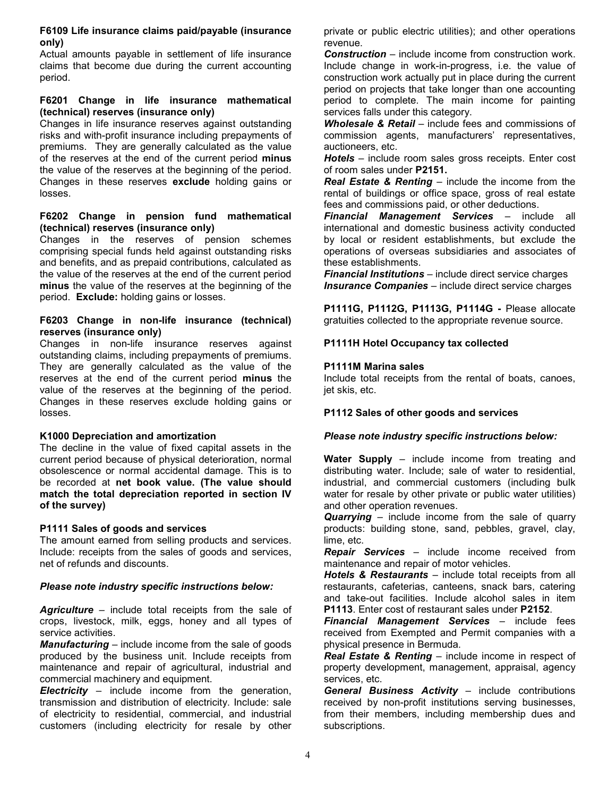## F6109 Life insurance claims paid/payable (insurance only)

Actual amounts payable in settlement of life insurance claims that become due during the current accounting period.

### F6201 Change in life insurance mathematical (technical) reserves (insurance only)

Changes in life insurance reserves against outstanding risks and with-profit insurance including prepayments of premiums. They are generally calculated as the value of the reserves at the end of the current period minus the value of the reserves at the beginning of the period. Changes in these reserves exclude holding gains or losses.

#### F6202 Change in pension fund mathematical (technical) reserves (insurance only)

Changes in the reserves of pension schemes comprising special funds held against outstanding risks and benefits, and as prepaid contributions, calculated as the value of the reserves at the end of the current period minus the value of the reserves at the beginning of the period. Exclude: holding gains or losses.

# F6203 Change in non-life insurance (technical) reserves (insurance only)

Changes in non-life insurance reserves against outstanding claims, including prepayments of premiums. They are generally calculated as the value of the reserves at the end of the current period minus the value of the reserves at the beginning of the period. Changes in these reserves exclude holding gains or losses.

# K1000 Depreciation and amortization

The decline in the value of fixed capital assets in the current period because of physical deterioration, normal obsolescence or normal accidental damage. This is to be recorded at net book value. (The value should match the total depreciation reported in section IV of the survey)

# P1111 Sales of goods and services

The amount earned from selling products and services. Include: receipts from the sales of goods and services, net of refunds and discounts.

# Please note industry specific instructions below:

Agriculture – include total receipts from the sale of crops, livestock, milk, eggs, honey and all types of service activities.

**Manufacturing** – include income from the sale of goods produced by the business unit. Include receipts from maintenance and repair of agricultural, industrial and commercial machinery and equipment.

**Electricity** – include income from the generation, transmission and distribution of electricity. Include: sale of electricity to residential, commercial, and industrial customers (including electricity for resale by other private or public electric utilities); and other operations revenue.

Construction – include income from construction work. Include change in work-in-progress, i.e. the value of construction work actually put in place during the current period on projects that take longer than one accounting period to complete. The main income for painting services falls under this category.

Wholesale & Retail – include fees and commissions of commission agents, manufacturers' representatives, auctioneers, etc.

Hotels – include room sales gross receipts. Enter cost of room sales under P2151.

Real Estate & Renting – include the income from the rental of buildings or office space, gross of real estate fees and commissions paid, or other deductions.

Financial Management Services - include all international and domestic business activity conducted by local or resident establishments, but exclude the operations of overseas subsidiaries and associates of these establishments.

**Financial Institutions** – include direct service charges **Insurance Companies** – include direct service charges

P1111G, P1112G, P1113G, P1114G - Please allocate gratuities collected to the appropriate revenue source.

# P1111H Hotel Occupancy tax collected

# P1111M Marina sales

Include total receipts from the rental of boats, canoes, jet skis, etc.

## P1112 Sales of other goods and services

## Please note industry specific instructions below:

Water Supply – include income from treating and distributing water. Include; sale of water to residential, industrial, and commercial customers (including bulk water for resale by other private or public water utilities) and other operation revenues.

Quarrying – include income from the sale of quarry products: building stone, sand, pebbles, gravel, clay, lime, etc.

Repair Services – include income received from maintenance and repair of motor vehicles.

Hotels & Restaurants – include total receipts from all restaurants, cafeterias, canteens, snack bars, catering and take-out facilities. Include alcohol sales in item P1113. Enter cost of restaurant sales under P2152.

Financial Management Services – include fees received from Exempted and Permit companies with a physical presence in Bermuda.

Real Estate & Renting – include income in respect of property development, management, appraisal, agency services, etc.

General Business Activity – include contributions received by non-profit institutions serving businesses, from their members, including membership dues and subscriptions.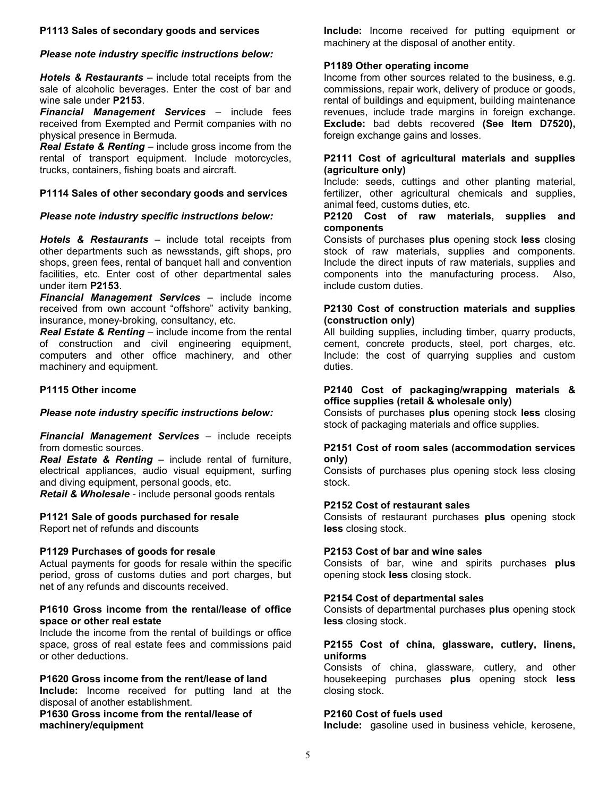## P1113 Sales of secondary goods and services

## Please note industry specific instructions below:

**Hotels & Restaurants** – include total receipts from the sale of alcoholic beverages. Enter the cost of bar and wine sale under P2153.

Financial Management Services – include fees received from Exempted and Permit companies with no physical presence in Bermuda.

Real Estate & Renting – include gross income from the rental of transport equipment. Include motorcycles, trucks, containers, fishing boats and aircraft.

## P1114 Sales of other secondary goods and services

# Please note industry specific instructions below:

Hotels & Restaurants – include total receipts from other departments such as newsstands, gift shops, pro shops, green fees, rental of banquet hall and convention facilities, etc. Enter cost of other departmental sales under item P2153.

Financial Management Services – include income received from own account "offshore" activity banking, insurance, money-broking, consultancy, etc.

**Real Estate & Renting** – include income from the rental of construction and civil engineering equipment, computers and other office machinery, and other machinery and equipment.

# P1115 Other income

## Please note industry specific instructions below:

**Financial Management Services - include receipts** from domestic sources.

Real Estate & Renting – include rental of furniture, electrical appliances, audio visual equipment, surfing and diving equipment, personal goods, etc.

Retail & Wholesale - include personal goods rentals

# P1121 Sale of goods purchased for resale

Report net of refunds and discounts

## P1129 Purchases of goods for resale

Actual payments for goods for resale within the specific period, gross of customs duties and port charges, but net of any refunds and discounts received.

# P1610 Gross income from the rental/lease of office space or other real estate

Include the income from the rental of buildings or office space, gross of real estate fees and commissions paid or other deductions.

## P1620 Gross income from the rent/lease of land

Include: Income received for putting land at the disposal of another establishment.

P1630 Gross income from the rental/lease of machinery/equipment

Include: Income received for putting equipment or machinery at the disposal of another entity.

## P1189 Other operating income

Income from other sources related to the business, e.g. commissions, repair work, delivery of produce or goods, rental of buildings and equipment, building maintenance revenues, include trade margins in foreign exchange. Exclude: bad debts recovered (See Item D7520), foreign exchange gains and losses.

## P2111 Cost of agricultural materials and supplies (agriculture only)

Include: seeds, cuttings and other planting material, fertilizer, other agricultural chemicals and supplies, animal feed, customs duties, etc.

#### P2120 Cost of raw materials, supplies and components

Consists of purchases plus opening stock less closing stock of raw materials, supplies and components. Include the direct inputs of raw materials, supplies and components into the manufacturing process. Also, include custom duties.

## P2130 Cost of construction materials and supplies (construction only)

All building supplies, including timber, quarry products, cement, concrete products, steel, port charges, etc. Include: the cost of quarrying supplies and custom duties.

#### P2140 Cost of packaging/wrapping materials & office supplies (retail & wholesale only)

Consists of purchases plus opening stock less closing stock of packaging materials and office supplies.

## P2151 Cost of room sales (accommodation services only)

Consists of purchases plus opening stock less closing stock.

## P2152 Cost of restaurant sales

Consists of restaurant purchases plus opening stock less closing stock.

## P2153 Cost of bar and wine sales

Consists of bar, wine and spirits purchases plus opening stock less closing stock.

## P2154 Cost of departmental sales

Consists of departmental purchases plus opening stock less closing stock.

## P2155 Cost of china, glassware, cutlery, linens, uniforms

Consists of china, glassware, cutlery, and other housekeeping purchases plus opening stock less closing stock.

## P2160 Cost of fuels used

Include: gasoline used in business vehicle, kerosene,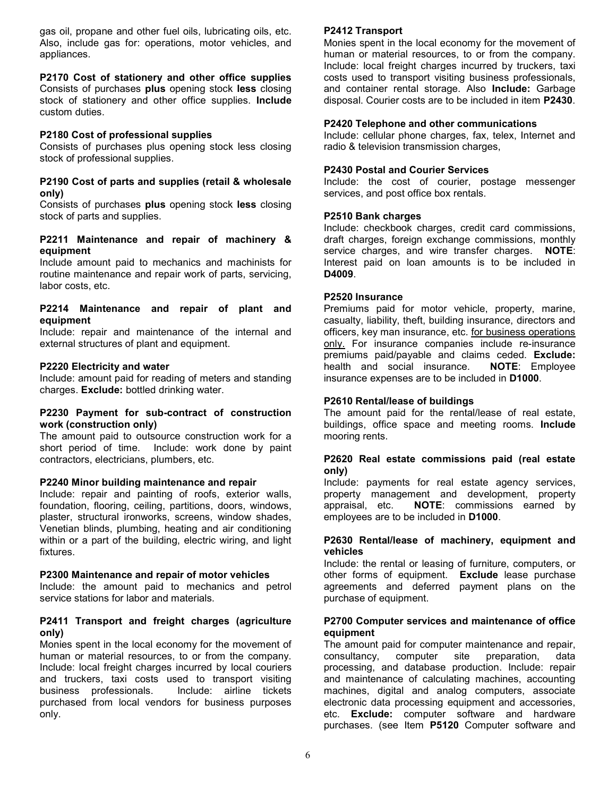gas oil, propane and other fuel oils, lubricating oils, etc. Also, include gas for: operations, motor vehicles, and appliances.

# P2170 Cost of stationery and other office supplies

Consists of purchases plus opening stock less closing stock of stationery and other office supplies. Include custom duties.

# P2180 Cost of professional supplies

Consists of purchases plus opening stock less closing stock of professional supplies.

## P2190 Cost of parts and supplies (retail & wholesale only)

Consists of purchases plus opening stock less closing stock of parts and supplies.

## P2211 Maintenance and repair of machinery & equipment

Include amount paid to mechanics and machinists for routine maintenance and repair work of parts, servicing, labor costs, etc.

#### P2214 Maintenance and repair of plant and equipment

Include: repair and maintenance of the internal and external structures of plant and equipment.

# P2220 Electricity and water

Include: amount paid for reading of meters and standing charges. Exclude: bottled drinking water.

## P2230 Payment for sub-contract of construction work (construction only)

The amount paid to outsource construction work for a short period of time. Include: work done by paint contractors, electricians, plumbers, etc.

## P2240 Minor building maintenance and repair

Include: repair and painting of roofs, exterior walls, foundation, flooring, ceiling, partitions, doors, windows, plaster, structural ironworks, screens, window shades, Venetian blinds, plumbing, heating and air conditioning within or a part of the building, electric wiring, and light fixtures.

## P2300 Maintenance and repair of motor vehicles

Include: the amount paid to mechanics and petrol service stations for labor and materials.

# P2411 Transport and freight charges (agriculture only)

Monies spent in the local economy for the movement of human or material resources, to or from the company. Include: local freight charges incurred by local couriers and truckers, taxi costs used to transport visiting business professionals. Include: airline tickets purchased from local vendors for business purposes only.

# P2412 Transport

Monies spent in the local economy for the movement of human or material resources, to or from the company. Include: local freight charges incurred by truckers, taxi costs used to transport visiting business professionals, and container rental storage. Also Include: Garbage disposal. Courier costs are to be included in item P2430.

## P2420 Telephone and other communications

Include: cellular phone charges, fax, telex, Internet and radio & television transmission charges,

## P2430 Postal and Courier Services

Include: the cost of courier, postage messenger services, and post office box rentals.

# P2510 Bank charges

Include: checkbook charges, credit card commissions, draft charges, foreign exchange commissions, monthly service charges, and wire transfer charges. NOTE: Interest paid on loan amounts is to be included in D4009.

## P2520 Insurance

Premiums paid for motor vehicle, property, marine, casualty, liability, theft, building insurance, directors and officers, key man insurance, etc. for business operations only. For insurance companies include re-insurance premiums paid/payable and claims ceded. Exclude: health and social insurance. **NOTE:** Employee insurance expenses are to be included in D1000.

## P2610 Rental/lease of buildings

The amount paid for the rental/lease of real estate, buildings, office space and meeting rooms. Include mooring rents.

# P2620 Real estate commissions paid (real estate only)

Include: payments for real estate agency services, property management and development, property appraisal, etc. NOTE: commissions earned by employees are to be included in D1000.

## P2630 Rental/lease of machinery, equipment and vehicles

Include: the rental or leasing of furniture, computers, or other forms of equipment. Exclude lease purchase agreements and deferred payment plans on the purchase of equipment.

## P2700 Computer services and maintenance of office equipment

The amount paid for computer maintenance and repair, consultancy, computer site preparation, data processing, and database production. Include: repair and maintenance of calculating machines, accounting machines, digital and analog computers, associate electronic data processing equipment and accessories, etc. Exclude: computer software and hardware purchases. (see Item P5120 Computer software and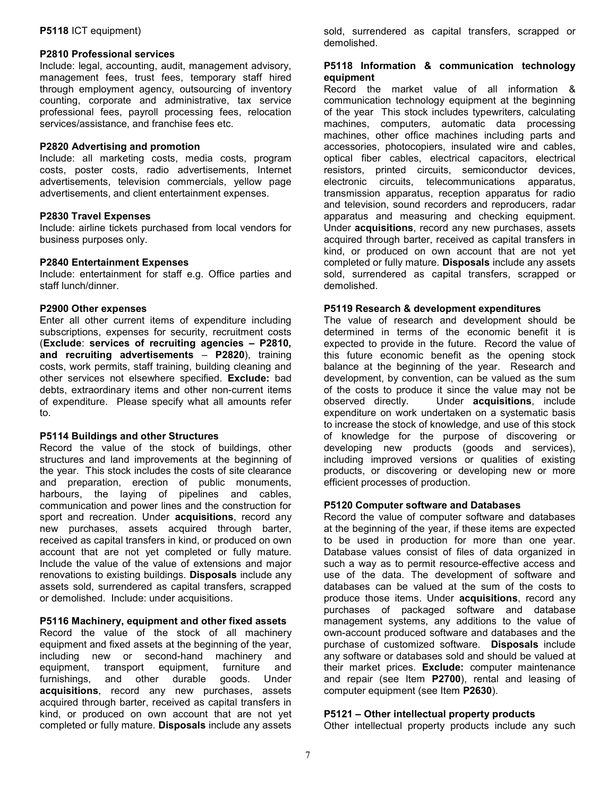### P5118 ICT equipment)

## P2810 Professional services

Include: legal, accounting, audit, management advisory, management fees, trust fees, temporary staff hired through employment agency, outsourcing of inventory counting, corporate and administrative, tax service professional fees, payroll processing fees, relocation services/assistance, and franchise fees etc.

#### P2820 Advertising and promotion

Include: all marketing costs, media costs, program costs, poster costs, radio advertisements, Internet advertisements, television commercials, yellow page advertisements, and client entertainment expenses.

#### P2830 Travel Expenses

Include: airline tickets purchased from local vendors for business purposes only.

#### P2840 Entertainment Expenses

Include: entertainment for staff e.g. Office parties and staff lunch/dinner.

#### P2900 Other expenses

Enter all other current items of expenditure including subscriptions, expenses for security, recruitment costs (Exclude: services of recruiting agencies – P2810, and recruiting advertisements – P2820), training costs, work permits, staff training, building cleaning and other services not elsewhere specified. Exclude: bad debts, extraordinary items and other non-current items of expenditure. Please specify what all amounts refer to.

#### P5114 Buildings and other Structures

Record the value of the stock of buildings, other structures and land improvements at the beginning of the year. This stock includes the costs of site clearance and preparation, erection of public monuments, harbours, the laying of pipelines and cables, communication and power lines and the construction for sport and recreation. Under **acquisitions**, record any new purchases, assets acquired through barter, received as capital transfers in kind, or produced on own account that are not yet completed or fully mature. Include the value of the value of extensions and major renovations to existing buildings. Disposals include any assets sold, surrendered as capital transfers, scrapped or demolished. Include: under acquisitions.

## P5116 Machinery, equipment and other fixed assets

Record the value of the stock of all machinery equipment and fixed assets at the beginning of the year, including new or second-hand machinery and equipment, transport equipment, furniture and furnishings, and other durable goods. Under acquisitions, record any new purchases, assets acquired through barter, received as capital transfers in kind, or produced on own account that are not yet completed or fully mature. Disposals include any assets

sold, surrendered as capital transfers, scrapped or demolished.

## P5118 Information & communication technology equipment

Record the market value of all information & communication technology equipment at the beginning of the year This stock includes typewriters, calculating machines, computers, automatic data processing machines, other office machines including parts and accessories, photocopiers, insulated wire and cables, optical fiber cables, electrical capacitors, electrical resistors, printed circuits, semiconductor devices, electronic circuits, telecommunications apparatus, transmission apparatus, reception apparatus for radio and television, sound recorders and reproducers, radar apparatus and measuring and checking equipment. Under acquisitions, record any new purchases, assets acquired through barter, received as capital transfers in kind, or produced on own account that are not yet completed or fully mature. Disposals include any assets sold, surrendered as capital transfers, scrapped or demolished.

#### P5119 Research & development expenditures

The value of research and development should be determined in terms of the economic benefit it is expected to provide in the future. Record the value of this future economic benefit as the opening stock balance at the beginning of the year. Research and development, by convention, can be valued as the sum of the costs to produce it since the value may not be observed directly. Under **acquisitions**, include expenditure on work undertaken on a systematic basis to increase the stock of knowledge, and use of this stock of knowledge for the purpose of discovering or developing new products (goods and services), including improved versions or qualities of existing products, or discovering or developing new or more efficient processes of production.

#### P5120 Computer software and Databases

Record the value of computer software and databases at the beginning of the year, if these items are expected to be used in production for more than one year. Database values consist of files of data organized in such a way as to permit resource-effective access and use of the data. The development of software and databases can be valued at the sum of the costs to produce those items. Under **acquisitions**, record any purchases of packaged software and database management systems, any additions to the value of own-account produced software and databases and the purchase of customized software. Disposals include any software or databases sold and should be valued at their market prices. Exclude: computer maintenance and repair (see Item P2700), rental and leasing of computer equipment (see Item P2630).

### P5121 – Other intellectual property products

Other intellectual property products include any such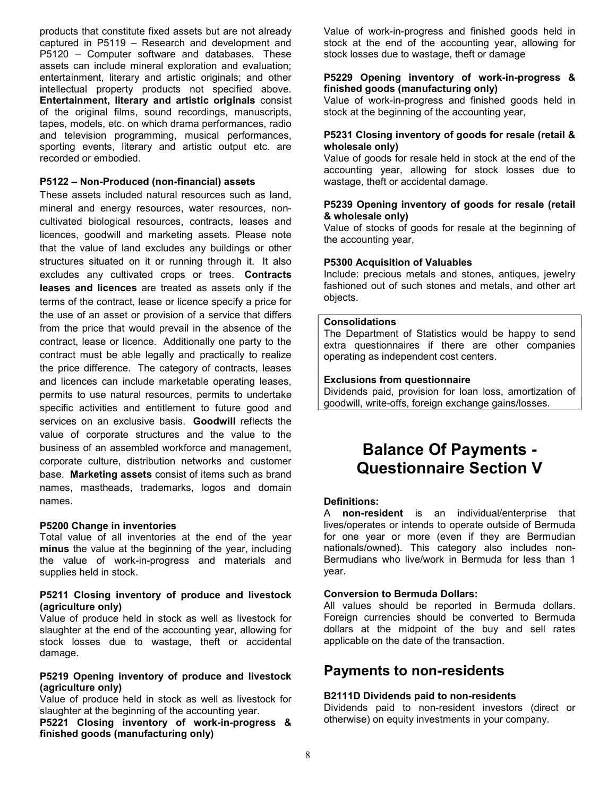products that constitute fixed assets but are not already captured in P5119 – Research and development and P5120 – Computer software and databases. These assets can include mineral exploration and evaluation; entertainment, literary and artistic originals; and other intellectual property products not specified above. Entertainment, literary and artistic originals consist of the original films, sound recordings, manuscripts, tapes, models, etc. on which drama performances, radio and television programming, musical performances, sporting events, literary and artistic output etc. are recorded or embodied.

### P5122 – Non-Produced (non-financial) assets

These assets included natural resources such as land, mineral and energy resources, water resources, noncultivated biological resources, contracts, leases and licences, goodwill and marketing assets. Please note that the value of land excludes any buildings or other structures situated on it or running through it. It also excludes any cultivated crops or trees. Contracts leases and licences are treated as assets only if the terms of the contract, lease or licence specify a price for the use of an asset or provision of a service that differs from the price that would prevail in the absence of the contract, lease or licence. Additionally one party to the contract must be able legally and practically to realize the price difference. The category of contracts, leases and licences can include marketable operating leases, permits to use natural resources, permits to undertake specific activities and entitlement to future good and services on an exclusive basis. Goodwill reflects the value of corporate structures and the value to the business of an assembled workforce and management, corporate culture, distribution networks and customer base. Marketing assets consist of items such as brand names, mastheads, trademarks, logos and domain names.

#### P5200 Change in inventories

Total value of all inventories at the end of the year minus the value at the beginning of the year, including the value of work-in-progress and materials and supplies held in stock.

#### P5211 Closing inventory of produce and livestock (agriculture only)

Value of produce held in stock as well as livestock for slaughter at the end of the accounting year, allowing for stock losses due to wastage, theft or accidental damage.

# P5219 Opening inventory of produce and livestock (agriculture only)

Value of produce held in stock as well as livestock for slaughter at the beginning of the accounting year.

P5221 Closing inventory of work-in-progress & finished goods (manufacturing only)

Value of work-in-progress and finished goods held in stock at the end of the accounting year, allowing for stock losses due to wastage, theft or damage

## P5229 Opening inventory of work-in-progress & finished goods (manufacturing only)

Value of work-in-progress and finished goods held in stock at the beginning of the accounting year,

### P5231 Closing inventory of goods for resale (retail & wholesale only)

Value of goods for resale held in stock at the end of the accounting year, allowing for stock losses due to wastage, theft or accidental damage.

#### P5239 Opening inventory of goods for resale (retail & wholesale only)

Value of stocks of goods for resale at the beginning of the accounting year,

#### P5300 Acquisition of Valuables

Include: precious metals and stones, antiques, jewelry fashioned out of such stones and metals, and other art objects.

#### Consolidations

The Department of Statistics would be happy to send extra questionnaires if there are other companies operating as independent cost centers.

#### Exclusions from questionnaire

Dividends paid, provision for loan loss, amortization of goodwill, write-offs, foreign exchange gains/losses.

# Balance Of Payments - Questionnaire Section V

## Definitions:

A non-resident is an individual/enterprise that lives/operates or intends to operate outside of Bermuda for one year or more (even if they are Bermudian nationals/owned). This category also includes non-Bermudians who live/work in Bermuda for less than 1 year.

#### Conversion to Bermuda Dollars:

All values should be reported in Bermuda dollars. Foreign currencies should be converted to Bermuda dollars at the midpoint of the buy and sell rates applicable on the date of the transaction.

# Payments to non-residents

## B2111D Dividends paid to non-residents

Dividends paid to non-resident investors (direct or otherwise) on equity investments in your company.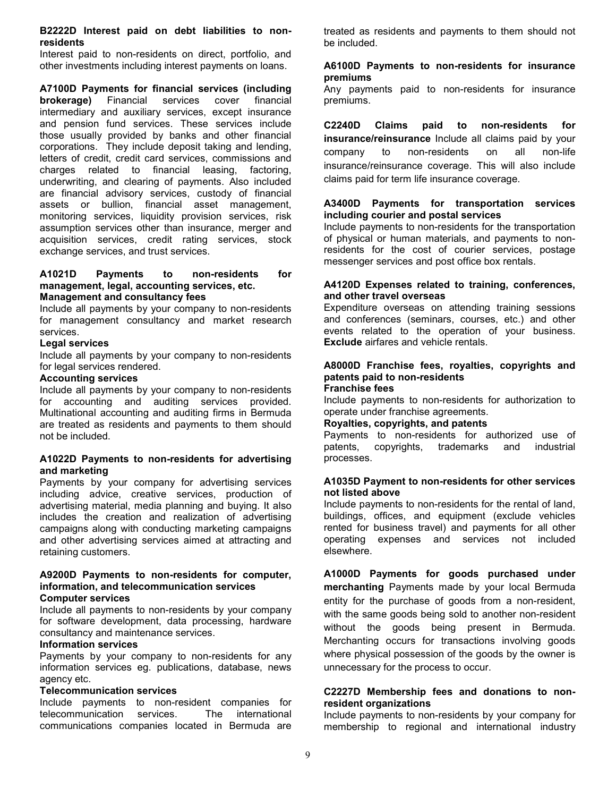#### B2222D Interest paid on debt liabilities to nonresidents

Interest paid to non-residents on direct, portfolio, and other investments including interest payments on loans.

A7100D Payments for financial services (including brokerage) Financial services cover financial intermediary and auxiliary services, except insurance and pension fund services. These services include those usually provided by banks and other financial corporations. They include deposit taking and lending, letters of credit, credit card services, commissions and charges related to financial leasing, factoring, underwriting, and clearing of payments. Also included are financial advisory services, custody of financial assets or bullion, financial asset management, monitoring services, liquidity provision services, risk assumption services other than insurance, merger and acquisition services, credit rating services, stock exchange services, and trust services.

#### A1021D Payments to non-residents for management, legal, accounting services, etc. Management and consultancy fees

Include all payments by your company to non-residents for management consultancy and market research services.

#### Legal services

Include all payments by your company to non-residents for legal services rendered.

#### Accounting services

Include all payments by your company to non-residents for accounting and auditing services provided. Multinational accounting and auditing firms in Bermuda are treated as residents and payments to them should not be included.

## A1022D Payments to non-residents for advertising and marketing

Payments by your company for advertising services including advice, creative services, production of advertising material, media planning and buying. It also includes the creation and realization of advertising campaigns along with conducting marketing campaigns and other advertising services aimed at attracting and retaining customers.

#### A9200D Payments to non-residents for computer, information, and telecommunication services Computer services

Include all payments to non-residents by your company for software development, data processing, hardware consultancy and maintenance services.

# Information services

Payments by your company to non-residents for any information services eg. publications, database, news agency etc.

## Telecommunication services

Include payments to non-resident companies for telecommunication services. The international communications companies located in Bermuda are treated as residents and payments to them should not be included.

#### A6100D Payments to non-residents for insurance premiums

Any payments paid to non-residents for insurance premiums.

C2240D Claims paid to non-residents for insurance/reinsurance Include all claims paid by your company to non-residents on all non-life insurance/reinsurance coverage. This will also include claims paid for term life insurance coverage.

## A3400D Payments for transportation services including courier and postal services

Include payments to non-residents for the transportation of physical or human materials, and payments to nonresidents for the cost of courier services, postage messenger services and post office box rentals.

#### A4120D Expenses related to training, conferences, and other travel overseas

Expenditure overseas on attending training sessions and conferences (seminars, courses, etc.) and other events related to the operation of your business. Exclude airfares and vehicle rentals.

#### A8000D Franchise fees, royalties, copyrights and patents paid to non-residents Franchise fees

Include payments to non-residents for authorization to operate under franchise agreements.

## Royalties, copyrights, and patents

Payments to non-residents for authorized use of patents, copyrights, trademarks and industrial processes.

#### A1035D Payment to non-residents for other services not listed above

Include payments to non-residents for the rental of land, buildings, offices, and equipment (exclude vehicles rented for business travel) and payments for all other operating expenses and services not included elsewhere.

A1000D Payments for goods purchased under merchanting Payments made by your local Bermuda entity for the purchase of goods from a non-resident, with the same goods being sold to another non-resident without the goods being present in Bermuda. Merchanting occurs for transactions involving goods where physical possession of the goods by the owner is unnecessary for the process to occur.

# C2227D Membership fees and donations to nonresident organizations

Include payments to non-residents by your company for membership to regional and international industry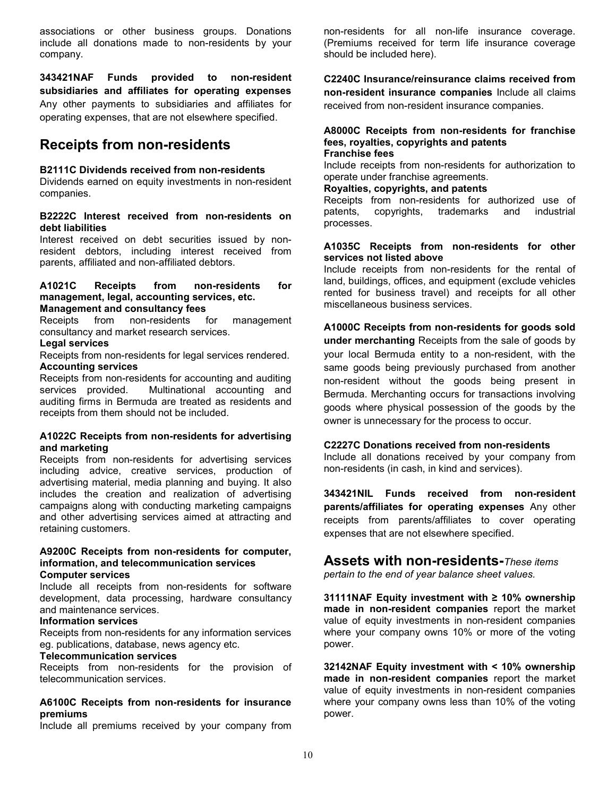associations or other business groups. Donations include all donations made to non-residents by your company.

343421NAF Funds provided to non-resident subsidiaries and affiliates for operating expenses Any other payments to subsidiaries and affiliates for operating expenses, that are not elsewhere specified.

# Receipts from non-residents

#### B2111C Dividends received from non-residents

Dividends earned on equity investments in non-resident companies.

## B2222C Interest received from non-residents on debt liabilities

Interest received on debt securities issued by nonresident debtors, including interest received from parents, affiliated and non-affiliated debtors.

# A1021C Receipts from non-residents for management, legal, accounting services, etc.

**Management and consultancy fees**<br>Receipts from non-residents for Receipts from non-residents for management consultancy and market research services.

#### Legal services

Receipts from non-residents for legal services rendered. Accounting services

Receipts from non-residents for accounting and auditing services provided. Multinational accounting and auditing firms in Bermuda are treated as residents and receipts from them should not be included.

#### A1022C Receipts from non-residents for advertising and marketing

Receipts from non-residents for advertising services including advice, creative services, production of advertising material, media planning and buying. It also includes the creation and realization of advertising campaigns along with conducting marketing campaigns and other advertising services aimed at attracting and retaining customers.

#### A9200C Receipts from non-residents for computer, information, and telecommunication services Computer services

Include all receipts from non-residents for software development, data processing, hardware consultancy and maintenance services.

## Information services

Receipts from non-residents for any information services eg. publications, database, news agency etc.

#### Telecommunication services

Receipts from non-residents for the provision of telecommunication services.

#### A6100C Receipts from non-residents for insurance premiums

Include all premiums received by your company from

non-residents for all non-life insurance coverage. (Premiums received for term life insurance coverage should be included here).

C2240C Insurance/reinsurance claims received from non-resident insurance companies Include all claims received from non-resident insurance companies.

#### A8000C Receipts from non-residents for franchise fees, royalties, copyrights and patents Franchise fees

Include receipts from non-residents for authorization to operate under franchise agreements.

#### Royalties, copyrights, and patents

Receipts from non-residents for authorized use of patents, copyrights, trademarks and industrial processes.

## A1035C Receipts from non-residents for other services not listed above

Include receipts from non-residents for the rental of land, buildings, offices, and equipment (exclude vehicles rented for business travel) and receipts for all other miscellaneous business services.

# A1000C Receipts from non-residents for goods sold under merchanting Receipts from the sale of goods by your local Bermuda entity to a non-resident, with the same goods being previously purchased from another non-resident without the goods being present in Bermuda. Merchanting occurs for transactions involving goods where physical possession of the goods by the owner is unnecessary for the process to occur.

## C2227C Donations received from non-residents

Include all donations received by your company from non-residents (in cash, in kind and services).

343421NIL Funds received from non-resident parents/affiliates for operating expenses Any other receipts from parents/affiliates to cover operating expenses that are not elsewhere specified.

# Assets with non-residents-These items

pertain to the end of year balance sheet values.

31111NAF Equity investment with ≥ 10% ownership made in non-resident companies report the market value of equity investments in non-resident companies where your company owns 10% or more of the voting power.

32142NAF Equity investment with < 10% ownership made in non-resident companies report the market value of equity investments in non-resident companies where your company owns less than 10% of the voting power.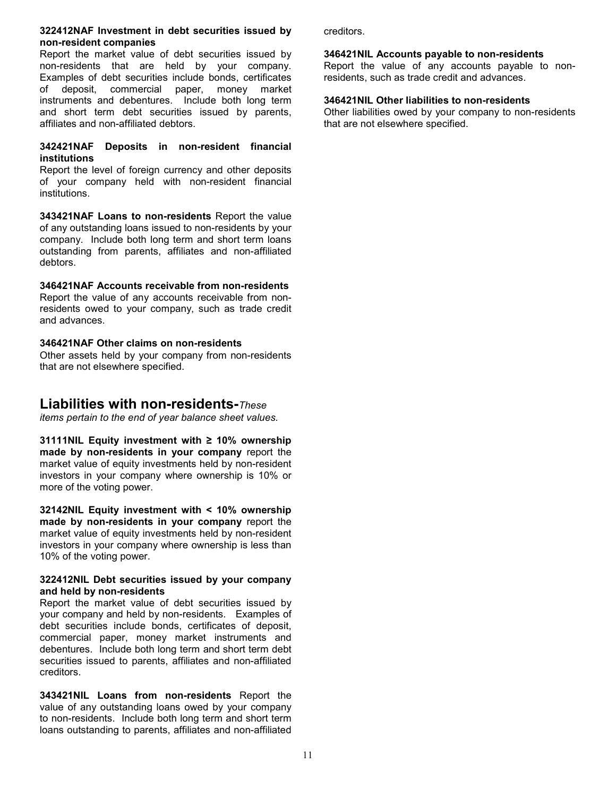#### 322412NAF Investment in debt securities issued by non-resident companies

Report the market value of debt securities issued by non-residents that are held by your company. Examples of debt securities include bonds, certificates of deposit, commercial paper, money market instruments and debentures. Include both long term and short term debt securities issued by parents, affiliates and non-affiliated debtors.

# 342421NAF Deposits in non-resident financial institutions

Report the level of foreign currency and other deposits of your company held with non-resident financial institutions.

343421NAF Loans to non-residents Report the value of any outstanding loans issued to non-residents by your company. Include both long term and short term loans outstanding from parents, affiliates and non-affiliated debtors.

# 346421NAF Accounts receivable from non-residents

Report the value of any accounts receivable from nonresidents owed to your company, such as trade credit and advances.

# 346421NAF Other claims on non-residents

Other assets held by your company from non-residents that are not elsewhere specified.

# Liabilities with non-residents-These

items pertain to the end of year balance sheet values.

31111NIL Equity investment with  $\geq$  10% ownership made by non-residents in your company report the market value of equity investments held by non-resident investors in your company where ownership is 10% or more of the voting power.

32142NIL Equity investment with < 10% ownership made by non-residents in your company report the market value of equity investments held by non-resident investors in your company where ownership is less than 10% of the voting power.

# 322412NIL Debt securities issued by your company and held by non-residents

Report the market value of debt securities issued by your company and held by non-residents. Examples of debt securities include bonds, certificates of deposit, commercial paper, money market instruments and debentures. Include both long term and short term debt securities issued to parents, affiliates and non-affiliated creditors.

343421NIL Loans from non-residents Report the value of any outstanding loans owed by your company to non-residents. Include both long term and short term loans outstanding to parents, affiliates and non-affiliated

creditors.

# 346421NIL Accounts payable to non-residents

Report the value of any accounts payable to nonresidents, such as trade credit and advances.

# 346421NIL Other liabilities to non-residents

Other liabilities owed by your company to non-residents that are not elsewhere specified.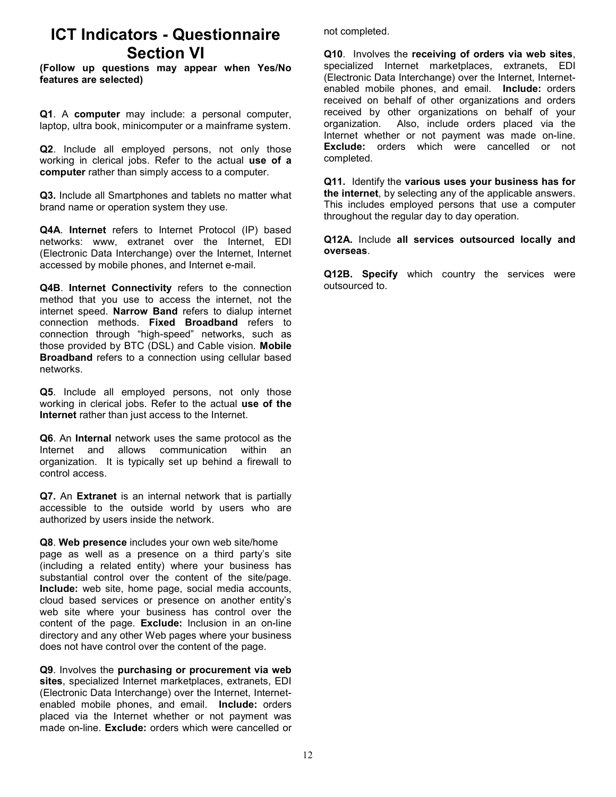# ICT Indicators - Questionnaire Section VI

(Follow up questions may appear when Yes/No features are selected)

Q1. A computer may include: a personal computer, laptop, ultra book, minicomputer or a mainframe system.

Q2. Include all employed persons, not only those working in clerical jobs. Refer to the actual use of a computer rather than simply access to a computer.

Q3. Include all Smartphones and tablets no matter what brand name or operation system they use.

Q4A. Internet refers to Internet Protocol (IP) based networks: www, extranet over the Internet, EDI (Electronic Data Interchange) over the Internet, Internet accessed by mobile phones, and Internet e-mail.

Q4B. Internet Connectivity refers to the connection method that you use to access the internet, not the internet speed. Narrow Band refers to dialup internet connection methods. Fixed Broadband refers to connection through "high-speed" networks, such as those provided by BTC (DSL) and Cable vision. Mobile Broadband refers to a connection using cellular based networks.

Q5. Include all employed persons, not only those working in clerical jobs. Refer to the actual use of the Internet rather than just access to the Internet.

Q6. An Internal network uses the same protocol as the Internet and allows communication within an organization. It is typically set up behind a firewall to control access.

Q7. An Extranet is an internal network that is partially accessible to the outside world by users who are authorized by users inside the network.

Q8. Web presence includes your own web site/home page as well as a presence on a third party's site (including a related entity) where your business has substantial control over the content of the site/page. Include: web site, home page, social media accounts, cloud based services or presence on another entity's web site where your business has control over the content of the page. Exclude: Inclusion in an on-line directory and any other Web pages where your business does not have control over the content of the page.

Q9. Involves the purchasing or procurement via web sites, specialized Internet marketplaces, extranets, EDI (Electronic Data Interchange) over the Internet, Internetenabled mobile phones, and email. Include: orders placed via the Internet whether or not payment was made on-line. Exclude: orders which were cancelled or

not completed.

Q10. Involves the receiving of orders via web sites, specialized Internet marketplaces, extranets, EDI (Electronic Data Interchange) over the Internet, Internetenabled mobile phones, and email. Include: orders received on behalf of other organizations and orders received by other organizations on behalf of your organization. Also, include orders placed via the Internet whether or not payment was made on-line. **Exclude:** orders which were cancelled or not completed.

Q11. Identify the various uses your business has for the internet, by selecting any of the applicable answers. This includes employed persons that use a computer throughout the regular day to day operation.

Q12A. Include all services outsourced locally and overseas.

Q12B. Specify which country the services were outsourced to.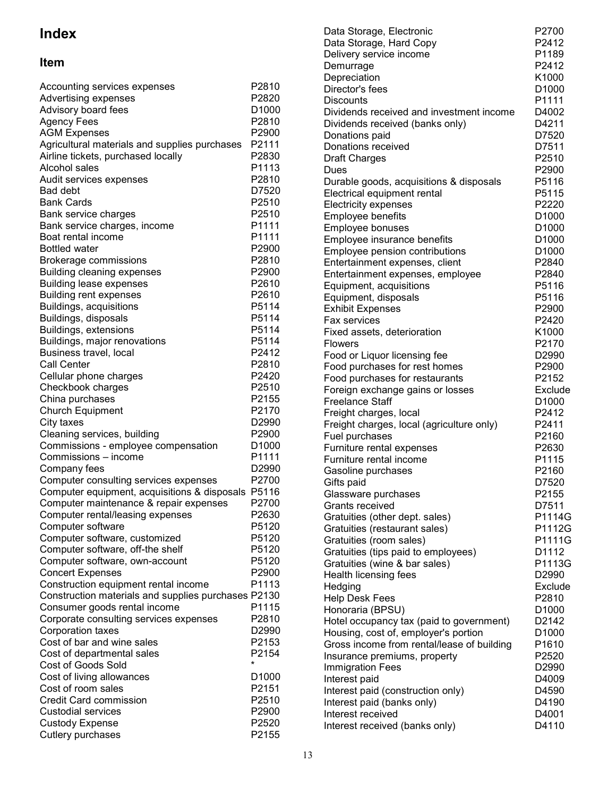# Index

# Item

| Accounting services expenses<br>Advertising expenses | P2810<br>P2820    |
|------------------------------------------------------|-------------------|
| Advisory board fees                                  | D <sub>1000</sub> |
| <b>Agency Fees</b>                                   | P2810             |
| <b>AGM Expenses</b>                                  | P2900             |
| Agricultural materials and supplies purchases        | P2111             |
| Airline tickets, purchased locally                   | P2830             |
| Alcohol sales                                        | P1113             |
| Audit services expenses                              | P2810             |
| <b>Bad debt</b>                                      | D7520             |
| <b>Bank Cards</b>                                    | P <sub>2510</sub> |
|                                                      | P2510             |
| Bank service charges                                 |                   |
| Bank service charges, income<br>Boat rental income   | P1111             |
| <b>Bottled water</b>                                 | P1111             |
|                                                      | P2900             |
| Brokerage commissions                                | P2810             |
| <b>Building cleaning expenses</b>                    | P2900             |
| <b>Building lease expenses</b>                       | P2610             |
| <b>Building rent expenses</b>                        | P2610             |
| Buildings, acquisitions                              | P5114             |
| Buildings, disposals                                 | P5114             |
| Buildings, extensions                                | P5114             |
| Buildings, major renovations                         | P5114             |
| Business travel, local                               | P2412             |
| Call Center                                          | P2810             |
| Cellular phone charges                               | P2420             |
| Checkbook charges                                    | P2510             |
| China purchases                                      | P2155             |
| <b>Church Equipment</b>                              | P2170             |
| City taxes                                           | D2990             |
| Cleaning services, building                          | P2900             |
| Commissions - employee compensation                  | D1000             |
| Commissions - income                                 | P1111             |
| Company fees                                         | D2990             |
| Computer consulting services expenses                | P2700             |
| Computer equipment, acquisitions & disposals P5116   |                   |
| Computer maintenance & repair expenses               | P2700             |
| Computer rental/leasing expenses                     | P2630             |
| Computer software                                    | P5120             |
| Computer software, customized                        | P5120             |
| Computer software, off-the shelf                     | P5120             |
| Computer software, own-account                       | P5120             |
| <b>Concert Expenses</b>                              | P2900             |
| Construction equipment rental income                 | P1113             |
| Construction materials and supplies purchases P2130  |                   |
| Consumer goods rental income                         | P1115             |
| Corporate consulting services expenses               | P2810             |
| Corporation taxes                                    | D2990             |
| Cost of bar and wine sales                           | P2153             |
| Cost of departmental sales                           | P2154             |
| <b>Cost of Goods Sold</b>                            | $\star$           |
| Cost of living allowances                            | D <sub>1000</sub> |
| Cost of room sales                                   | P2151             |
| <b>Credit Card commission</b>                        | P2510             |
| <b>Custodial services</b>                            | P2900             |
| <b>Custody Expense</b>                               | P2520             |
| Cutlery purchases                                    | P2155             |

| Data Storage, Electronic                                                           | P2700                      |
|------------------------------------------------------------------------------------|----------------------------|
| Data Storage, Hard Copy                                                            | P2412                      |
| Delivery service income                                                            | P1189                      |
| Demurrage                                                                          | P2412                      |
| Depreciation                                                                       | K1000                      |
| Director's fees                                                                    | D1000                      |
| <b>Discounts</b>                                                                   | P1111                      |
| Dividends received and investment income                                           | D4002                      |
| Dividends received (banks only)                                                    | D4211                      |
| Donations paid                                                                     | D7520                      |
| Donations received                                                                 | D7511                      |
| <b>Draft Charges</b>                                                               | P2510                      |
| Dues                                                                               | P2900                      |
| Durable goods, acquisitions & disposals                                            | P5116                      |
| Electrical equipment rental                                                        | P5115                      |
| <b>Electricity expenses</b>                                                        | P2220                      |
| Employee benefits                                                                  | D <sub>1000</sub>          |
| Employee bonuses                                                                   | D <sub>1000</sub>          |
| Employee insurance benefits                                                        | D <sub>1000</sub>          |
| Employee pension contributions                                                     | D <sub>1000</sub>          |
| Entertainment expenses, client                                                     | P2840                      |
| Entertainment expenses, employee                                                   | P2840                      |
| Equipment, acquisitions                                                            | P5116                      |
| Equipment, disposals                                                               | P5116                      |
| <b>Exhibit Expenses</b>                                                            | P2900                      |
| <b>Fax services</b>                                                                | P2420                      |
| Fixed assets, deterioration                                                        | K1000                      |
| <b>Flowers</b><br>Food or Liquor licensing fee                                     | P2170<br>D2990             |
| Food purchases for rest homes                                                      | P2900                      |
| Food purchases for restaurants                                                     | P2152                      |
| Foreign exchange gains or losses                                                   | Exclude                    |
| <b>Freelance Staff</b>                                                             | D <sub>1000</sub>          |
| Freight charges, local                                                             | P2412                      |
| Freight charges, local (agriculture only)                                          | P2411                      |
| Fuel purchases                                                                     | P2160                      |
| Furniture rental expenses                                                          | P2630                      |
| Furniture rental income                                                            | P1115                      |
| Gasoline purchases                                                                 | P2160                      |
| Gifts paid                                                                         | D7520                      |
| Glassware purchases                                                                | P2155                      |
| Grants received                                                                    | D7511                      |
| Gratuities (other dept. sales)                                                     | P1114G                     |
| Gratuities (restaurant sales)                                                      | P1112G                     |
| Gratuities (room sales)                                                            | P1111G                     |
| Gratuities (tips paid to employees)                                                | D1112                      |
| Gratuities (wine & bar sales)                                                      | P1113G                     |
| Health licensing fees                                                              | D2990                      |
| Hedging                                                                            | Exclude                    |
| <b>Help Desk Fees</b>                                                              | P2810                      |
| Honoraria (BPSU)                                                                   | D1000                      |
| Hotel occupancy tax (paid to government)                                           | D2142                      |
| Housing, cost of, employer's portion<br>Gross income from rental/lease of building | D <sub>1000</sub><br>P1610 |
| Insurance premiums, property                                                       | P2520                      |
| <b>Immigration Fees</b>                                                            | D2990                      |
| Interest paid                                                                      | D4009                      |
| Interest paid (construction only)                                                  | D4590                      |
| Interest paid (banks only)                                                         | D4190                      |
| Interest received                                                                  | D4001                      |
| Interest received (banks only)                                                     | D4110                      |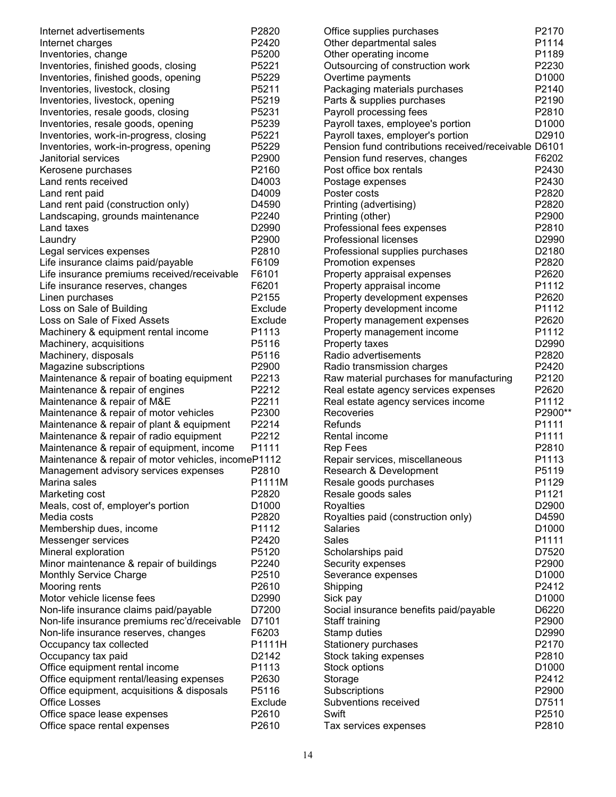| Internet advertisements                                        | P2820             | Office supplies purchases                            | P2170   |
|----------------------------------------------------------------|-------------------|------------------------------------------------------|---------|
| Internet charges                                               | P2420             | Other departmental sales                             | P1114   |
| Inventories, change                                            | P5200             | Other operating income                               | P1189   |
| Inventories, finished goods, closing                           | P5221             | Outsourcing of construction work                     | P2230   |
| Inventories, finished goods, opening                           | P5229             | Overtime payments                                    | D1000   |
| Inventories, livestock, closing                                | P5211             | Packaging materials purchases                        | P2140   |
| Inventories, livestock, opening                                | P5219             | Parts & supplies purchases                           | P2190   |
| Inventories, resale goods, closing                             | P5231             | Payroll processing fees                              | P2810   |
| Inventories, resale goods, opening                             | P5239             | Payroll taxes, employee's portion                    | D1000   |
| Inventories, work-in-progress, closing                         | P5221             | Payroll taxes, employer's portion                    | D2910   |
| Inventories, work-in-progress, opening                         | P5229             | Pension fund contributions received/receivable D6101 |         |
| Janitorial services                                            | P2900             | Pension fund reserves, changes                       | F6202   |
| Kerosene purchases                                             | P2160             | Post office box rentals                              | P2430   |
| Land rents received                                            | D4003             | Postage expenses                                     | P2430   |
| Land rent paid                                                 | D4009             | Poster costs                                         | P2820   |
| Land rent paid (construction only)                             | D4590             | Printing (advertising)                               | P2820   |
| Landscaping, grounds maintenance                               | P2240             | Printing (other)                                     | P2900   |
| Land taxes                                                     | D2990             | Professional fees expenses                           | P2810   |
| Laundry                                                        | P2900             | Professional licenses                                | D2990   |
| Legal services expenses                                        | P2810             | Professional supplies purchases                      | D2180   |
| Life insurance claims paid/payable                             | F6109             | Promotion expenses                                   | P2820   |
| Life insurance premiums received/receivable                    | F6101             | Property appraisal expenses                          | P2620   |
| Life insurance reserves, changes                               | F6201             | Property appraisal income                            | P1112   |
| Linen purchases                                                | P2155             | Property development expenses                        | P2620   |
| Loss on Sale of Building                                       | Exclude           | Property development income                          | P1112   |
| Loss on Sale of Fixed Assets                                   | Exclude           | Property management expenses                         | P2620   |
| Machinery & equipment rental income                            | P1113             | Property management income                           | P1112   |
| Machinery, acquisitions                                        | P5116             | Property taxes                                       | D2990   |
| Machinery, disposals                                           | P5116             | Radio advertisements                                 | P2820   |
| Magazine subscriptions                                         | P2900             | Radio transmission charges                           | P2420   |
| Maintenance & repair of boating equipment                      | P2213             | Raw material purchases for manufacturing             | P2120   |
|                                                                | P2212             | Real estate agency services expenses                 | P2620   |
| Maintenance & repair of engines<br>Maintenance & repair of M&E | P2211             | Real estate agency services income                   | P1112   |
|                                                                | P2300             | Recoveries                                           | P2900** |
| Maintenance & repair of motor vehicles                         | P2214             | Refunds                                              | P1111   |
| Maintenance & repair of plant & equipment                      | P2212             |                                                      | P1111   |
| Maintenance & repair of radio equipment                        |                   | Rental income                                        |         |
| Maintenance & repair of equipment, income                      | P1111             | <b>Rep Fees</b>                                      | P2810   |
| Maintenance & repair of motor vehicles, incomeP1112            |                   | Repair services, miscellaneous                       | P1113   |
| Management advisory services expenses                          | P2810             | Research & Development                               | P5119   |
| Marina sales                                                   | P1111M            | Resale goods purchases                               | P1129   |
| Marketing cost                                                 | P2820             | Resale goods sales                                   | P1121   |
| Meals, cost of, employer's portion                             | D <sub>1000</sub> | Royalties                                            | D2900   |
| Media costs                                                    | P2820             | Royalties paid (construction only)                   | D4590   |
| Membership dues, income                                        | P1112             | <b>Salaries</b>                                      | D1000   |
| Messenger services                                             | P2420             | Sales                                                | P1111   |
| Mineral exploration                                            | P5120             | Scholarships paid                                    | D7520   |
| Minor maintenance & repair of buildings                        | P2240             | Security expenses                                    | P2900   |
| <b>Monthly Service Charge</b>                                  | P2510             | Severance expenses                                   | D1000   |
| Mooring rents                                                  | P2610             | Shipping                                             | P2412   |
| Motor vehicle license fees                                     | D2990             | Sick pay                                             | D1000   |
| Non-life insurance claims paid/payable                         | D7200             | Social insurance benefits paid/payable               | D6220   |
| Non-life insurance premiums rec'd/receivable                   | D7101             | Staff training                                       | P2900   |
| Non-life insurance reserves, changes                           | F6203             | Stamp duties                                         | D2990   |
| Occupancy tax collected                                        | P1111H            | Stationery purchases                                 | P2170   |
| Occupancy tax paid                                             | D2142             | Stock taking expenses                                | P2810   |
| Office equipment rental income                                 | P1113             | Stock options                                        | D1000   |
| Office equipment rental/leasing expenses                       | P2630             | Storage                                              | P2412   |
| Office equipment, acquisitions & disposals                     | P5116             | Subscriptions                                        | P2900   |
| <b>Office Losses</b>                                           | Exclude           | Subventions received                                 | D7511   |
| Office space lease expenses                                    | P2610             | Swift                                                | P2510   |
| Office space rental expenses                                   | P2610             | Tax services expenses                                | P2810   |